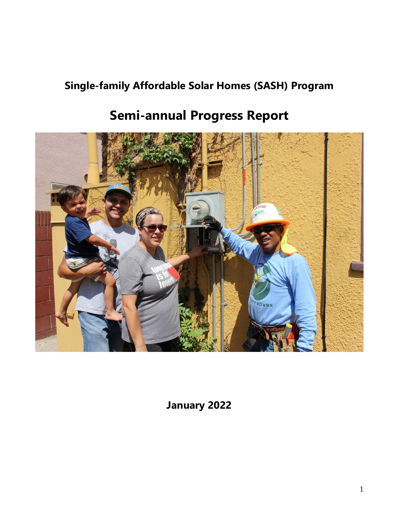# **Single-family Affordable Solar Homes (SASH) Program**

# **Semi-annual Progress Report**



**January 2022**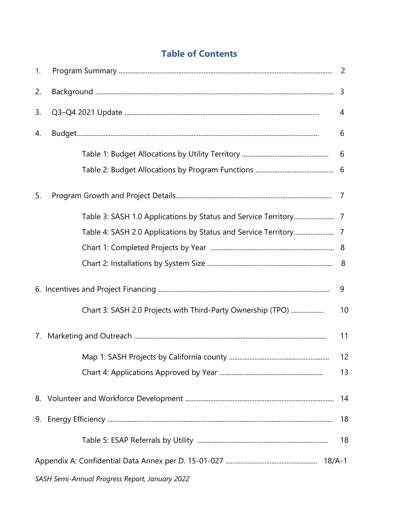# **Table of Contents**

| 1. |                                                             |    |
|----|-------------------------------------------------------------|----|
| 2. |                                                             |    |
| 3. |                                                             | 4  |
| 4. |                                                             | 6  |
|    |                                                             | 6  |
|    |                                                             |    |
| 5. |                                                             |    |
|    |                                                             |    |
|    |                                                             |    |
|    |                                                             |    |
|    |                                                             |    |
|    |                                                             | 9  |
|    | Chart 3: SASH 2.0 Projects with Third-Party Ownership (TPO) | 10 |
| 7. |                                                             | 11 |
|    |                                                             | 12 |
|    |                                                             | 13 |
|    |                                                             | 14 |
|    |                                                             | 18 |
|    |                                                             | 18 |
|    |                                                             |    |
|    | SASH Semi-Annual Progress Report, January 2022              |    |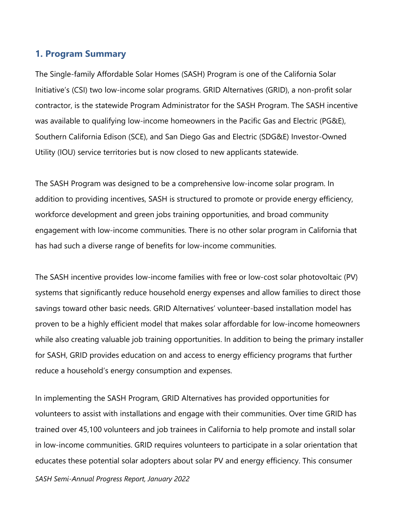#### **1. Program Summary**

The Single-family Affordable Solar Homes (SASH) Program is one of the California Solar Initiative's (CSI) two low-income solar programs. GRID Alternatives (GRID), a non-profit solar contractor, is the statewide Program Administrator for the SASH Program. The SASH incentive was available to qualifying low-income homeowners in the Pacific Gas and Electric (PG&E), Southern California Edison (SCE), and San Diego Gas and Electric (SDG&E) Investor-Owned Utility (IOU) service territories but is now closed to new applicants statewide.

The SASH Program was designed to be a comprehensive low-income solar program. In addition to providing incentives, SASH is structured to promote or provide energy efficiency, workforce development and green jobs training opportunities, and broad community engagement with low-income communities. There is no other solar program in California that has had such a diverse range of benefits for low-income communities.

The SASH incentive provides low-income families with free or low-cost solar photovoltaic (PV) systems that significantly reduce household energy expenses and allow families to direct those savings toward other basic needs. GRID Alternatives' volunteer-based installation model has proven to be a highly efficient model that makes solar affordable for low-income homeowners while also creating valuable job training opportunities. In addition to being the primary installer for SASH, GRID provides education on and access to energy efficiency programs that further reduce a household's energy consumption and expenses.

In implementing the SASH Program, GRID Alternatives has provided opportunities for volunteers to assist with installations and engage with their communities. Over time GRID has trained over 45,100 volunteers and job trainees in California to help promote and install solar in low-income communities. GRID requires volunteers to participate in a solar orientation that educates these potential solar adopters about solar PV and energy efficiency. This consumer

*SASH Semi-Annual Progress Report, January 2022*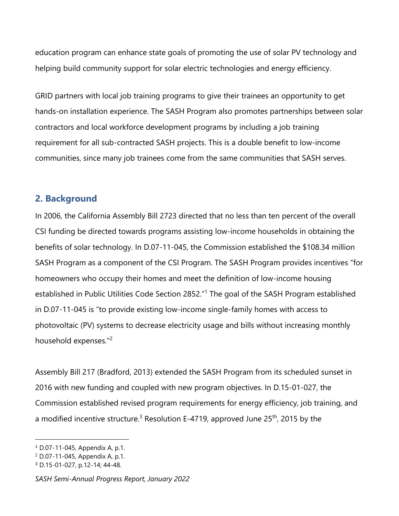education program can enhance state goals of promoting the use of solar PV technology and helping build community support for solar electric technologies and energy efficiency.

GRID partners with local job training programs to give their trainees an opportunity to get hands-on installation experience. The SASH Program also promotes partnerships between solar contractors and local workforce development programs by including a job training requirement for all sub-contracted SASH projects. This is a double benefit to low-income communities, since many job trainees come from the same communities that SASH serves.

#### **2. Background**

In 2006, the California Assembly Bill 2723 directed that no less than ten percent of the overall CSI funding be directed towards programs assisting low-income households in obtaining the benefits of solar technology. In D.07-11-045, the Commission established the \$108.34 million SASH Program as a component of the CSI Program. The SASH Program provides incentives "for homeowners who occupy their homes and meet the definition of low-income housing established in Public Utilities Code Section 2852."<sup>1</sup> The goal of the SASH Program established in D.07-11-045 is "to provide existing low-income single-family homes with access to photovoltaic (PV) systems to decrease electricity usage and bills without increasing monthly household expenses."<sup>2</sup>

Assembly Bill 217 (Bradford, 2013) extended the SASH Program from its scheduled sunset in 2016 with new funding and coupled with new program objectives. In D.15-01-027, the Commission established revised program requirements for energy efficiency, job training, and a modified incentive structure.<sup>3</sup> Resolution E-4719, approved June  $25<sup>th</sup>$ , 2015 by the

<sup>1</sup> D.07-11-045, Appendix A, p.1.

<sup>2</sup> D.07-11-045, Appendix A, p.1.

<sup>3</sup> D.15-01-027, p.12-14; 44-48.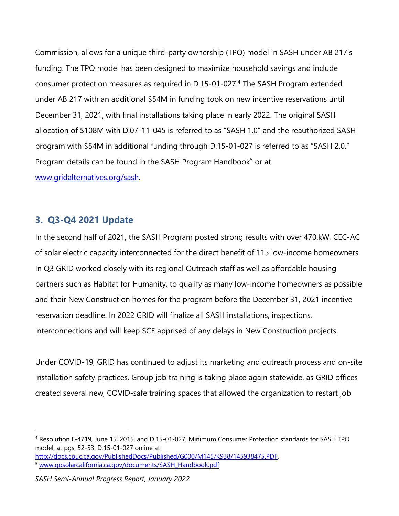Commission, allows for a unique third-party ownership (TPO) model in SASH under AB 217's funding. The TPO model has been designed to maximize household savings and include consumer protection measures as required in D.15-01-027.<sup>4</sup> The SASH Program extended under AB 217 with an additional \$54M in funding took on new incentive reservations until December 31, 2021, with final installations taking place in early 2022. The original SASH allocation of \$108M with D.07-11-045 is referred to as "SASH 1.0" and the reauthorized SASH program with \$54M in additional funding through D.15-01-027 is referred to as "SASH 2.0." Program details can be found in the SASH Program Handbook<sup>5</sup> or at [www.gridalternatives.org/sash.](http://www.gridalternatives.org/sash)

#### **3. Q3-Q4 2021 Update**

In the second half of 2021, the SASH Program posted strong results with over 470.kW, CEC-AC of solar electric capacity interconnected for the direct benefit of 115 low-income homeowners. In Q3 GRID worked closely with its regional Outreach staff as well as affordable housing partners such as Habitat for Humanity, to qualify as many low-income homeowners as possible and their New Construction homes for the program before the December 31, 2021 incentive reservation deadline. In 2022 GRID will finalize all SASH installations, inspections, interconnections and will keep SCE apprised of any delays in New Construction projects.

Under COVID-19, GRID has continued to adjust its marketing and outreach process and on-site installation safety practices. Group job training is taking place again statewide, as GRID offices created several new, COVID-safe training spaces that allowed the organization to restart job

[http://docs.cpuc.ca.gov/PublishedDocs/Published/G000/M145/K938/145938475.PDF.](http://docs.cpuc.ca.gov/PublishedDocs/Published/G000/M145/K938/145938475.PDF)

<sup>4</sup> Resolution E-4719, June 15, 2015, and D.15-01-027, Minimum Consumer Protection standards for SASH TPO model, at pgs. 52-53. D.15-01-027 online at

<sup>5</sup> [www.gosolarcalifornia.ca.gov/documents/SASH\\_Handbook.pdf](http://www.gosolarcalifornia.ca.gov/documents/SASH_Handbook.pdf)

*SASH Semi-Annual Progress Report, January 2022*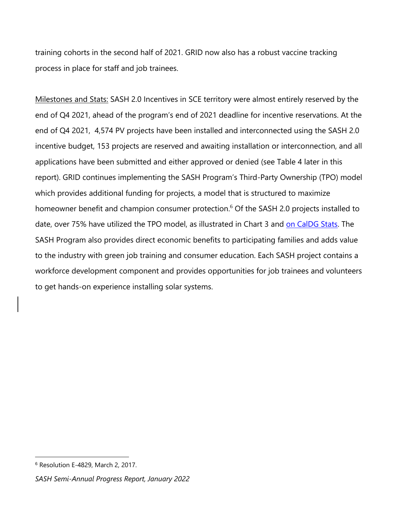training cohorts in the second half of 2021. GRID now also has a robust vaccine tracking process in place for staff and job trainees.

Milestones and Stats: SASH 2.0 Incentives in SCE territory were almost entirely reserved by the end of Q4 2021, ahead of the program's end of 2021 deadline for incentive reservations. At the end of Q4 2021, 4,574 PV projects have been installed and interconnected using the SASH 2.0 incentive budget, 153 projects are reserved and awaiting installation or interconnection, and all applications have been submitted and either approved or denied (see Table 4 later in this report). GRID continues implementing the SASH Program's Third-Party Ownership (TPO) model which provides additional funding for projects, a model that is structured to maximize homeowner benefit and champion consumer protection.<sup>6</sup> Of the SASH 2.0 projects installed to date, over 75% have utilized the TPO model, as illustrated in Chart 3 and [on CalDG](https://www.californiadgstats.ca.gov/charts/li) Stats. The SASH Program also provides direct economic benefits to participating families and adds value to the industry with green job training and consumer education. Each SASH project contains a workforce development component and provides opportunities for job trainees and volunteers to get hands-on experience installing solar systems.

<sup>6</sup> Resolution E-4829, March 2, 2017.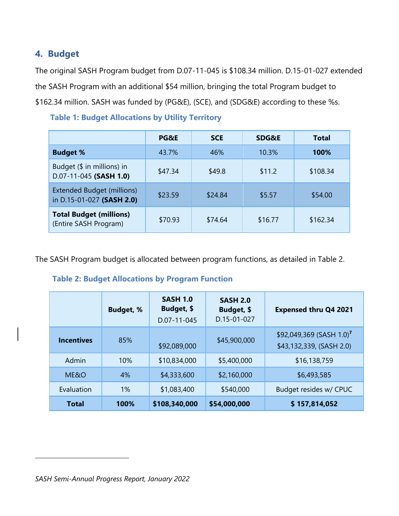# **4. Budget**

The original SASH Program budget from D.07-11-045 is \$108.34 million. D.15-01-027 extended the SASH Program with an additional \$54 million, bringing the total Program budget to \$162.34 million. SASH was funded by (PG&E), (SCE), and (SDG&E) according to these %s.

|                                                                | <b>PG&amp;E</b> | <b>SCE</b> | <b>SDG&amp;E</b> | Total    |
|----------------------------------------------------------------|-----------------|------------|------------------|----------|
| <b>Budget %</b>                                                | 43.7%           | 46%        | 10.3%            | 100%     |
| Budget (\$ in millions) in<br>D.07-11-045 (SASH 1.0)           | \$47.34         | \$49.8     | \$11.2           | \$108.34 |
| <b>Extended Budget (millions)</b><br>in D.15-01-027 (SASH 2.0) | \$23.59         | \$24.84    | \$5.57           | \$54.00  |
| <b>Total Budget (millions)</b><br>(Entire SASH Program)        | \$70.93         | \$74.64    | \$16.77          | \$162.34 |

#### **Table 1: Budget Allocations by Utility Territory**

The SASH Program budget is allocated between program functions, as detailed in Table 2.

#### **Table 2: Budget Allocations by Program Function**

|                   | <b>Budget, %</b> | <b>SASH 1.0</b><br>Budget, \$<br>D.07-11-045 | <b>SASH 2.0</b><br>Budget, \$<br>D.15-01-027 | <b>Expensed thru Q4 2021</b>                                     |
|-------------------|------------------|----------------------------------------------|----------------------------------------------|------------------------------------------------------------------|
| <b>Incentives</b> | 85%              | \$92,089,000                                 | \$45,900,000                                 | \$92,049,369 (SASH 1.0) <sup>7</sup><br>\$43,132,339, (SASH 2.0) |
| Admin             | 10%              | \$10,834,000                                 | \$5,400,000                                  | \$16,138,759                                                     |
| ME&O              | 4%               | \$4,333,600                                  | \$2,160,000                                  | \$6,493,585                                                      |
| Evaluation        | $1\%$            | \$1,083,400                                  | \$540,000                                    | Budget resides w/ CPUC                                           |
| <b>Total</b>      | 100%             | \$108,340,000                                | \$54,000,000                                 | \$157,814,052                                                    |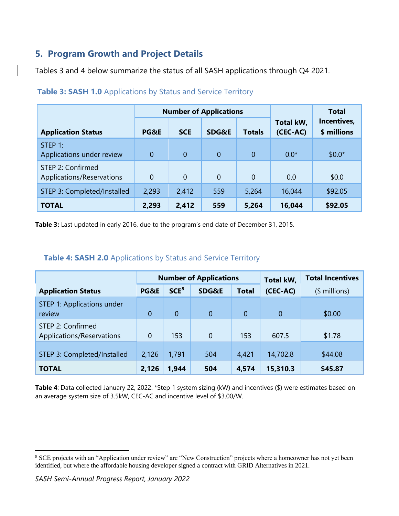# **5. Program Growth and Project Details**

Tables 3 and 4 below summarize the status of all SASH applications through Q4 2021.

|                                                |              |                | <b>Number of Applications</b> |                | <b>Total</b>          |                            |  |
|------------------------------------------------|--------------|----------------|-------------------------------|----------------|-----------------------|----------------------------|--|
| <b>Application Status</b>                      | PG&E         | <b>SCE</b>     | SDG&E                         | <b>Totals</b>  | Total kW,<br>(CEC-AC) | Incentives,<br>\$ millions |  |
| STEP 1:<br>Applications under review           | $\mathbf{0}$ | $\overline{0}$ | $\overline{0}$                | $\overline{0}$ | $0.0*$                | $$0.0*$                    |  |
| STEP 2: Confirmed<br>Applications/Reservations | 0            | 0              | $\overline{0}$                | $\overline{0}$ | 0.0                   | \$0.0                      |  |
| STEP 3: Completed/Installed                    | 2,293        | 2,412          | 559                           | 5,264          | 16,044                | \$92.05                    |  |
| <b>TOTAL</b>                                   | 2,293        | 2,412          | 559                           | 5,264          | 16,044                | \$92.05                    |  |

|  |  | Table 3: SASH 1.0 Applications by Status and Service Territory |  |
|--|--|----------------------------------------------------------------|--|
|--|--|----------------------------------------------------------------|--|

**Table 3:** Last updated in early 2016, due to the program's end date of December 31, 2015.

#### **Table 4: SASH 2.0** Applications by Status and Service Territory

|                                                |                |                  | <b>Number of Applications</b> | Total kW,      | <b>Total Incentives</b> |               |
|------------------------------------------------|----------------|------------------|-------------------------------|----------------|-------------------------|---------------|
| <b>Application Status</b>                      | PG&E           | SCE <sup>8</sup> | SDG&E                         | <b>Total</b>   | (CEC-AC)                | $$$ millions) |
| STEP 1: Applications under<br>review           | $\overline{0}$ | $\overline{0}$   | $\overline{0}$                | $\overline{0}$ | $\theta$                | \$0.00        |
| STEP 2: Confirmed<br>Applications/Reservations | $\overline{0}$ | 153              | $\overline{0}$                | 153            | 607.5                   | \$1.78        |
| STEP 3: Completed/Installed                    | 2,126          | 1,791            | 504                           | 4,421          | 14,702.8                | \$44.08       |
| <b>TOTAL</b>                                   | 2,126          | 1,944            | 504                           | 4,574          | 15,310.3                | \$45.87       |

**Table 4**: Data collected January 22, 2022. \*Step 1 system sizing (kW) and incentives (\$) were estimates based on an average system size of 3.5kW, CEC-AC and incentive level of \$3.00/W.

<sup>&</sup>lt;sup>8</sup> SCE projects with an "Application under review" are "New Construction" projects where a homeowner has not yet been identified, but where the affordable housing developer signed a contract with GRID Alternatives in 2021.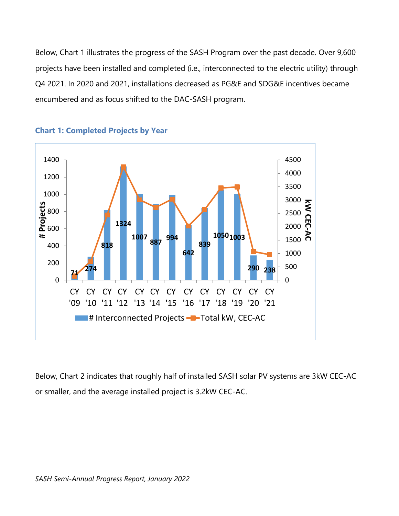Below, Chart 1 illustrates the progress of the SASH Program over the past decade. Over 9,600 projects have been installed and completed (i.e., interconnected to the electric utility) through Q4 2021. In 2020 and 2021, installations decreased as PG&E and SDG&E incentives became encumbered and as focus shifted to the DAC-SASH program.



**Chart 1: Completed Projects by Year**

Below, Chart 2 indicates that roughly half of installed SASH solar PV systems are 3kW CEC-AC or smaller, and the average installed project is 3.2kW CEC-AC.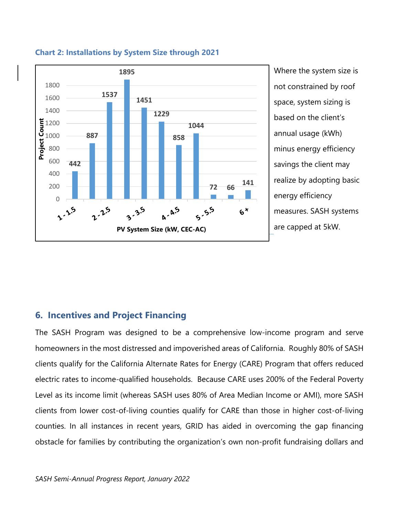

**Chart 2: Installations by System Size through 2021**

Where the system size is not constrained by roof space, system sizing is based on the client's annual usage (kWh) minus energy efficiency savings the client may realize by adopting basic energy efficiency measures. SASH systems are capped at 5kW.

## **6. Incentives and Project Financing**

The SASH Program was designed to be a comprehensive low-income program and serve homeowners in the most distressed and impoverished areas of California. Roughly 80% of SASH clients qualify for the California Alternate Rates for Energy (CARE) Program that offers reduced electric rates to income-qualified households. Because CARE uses 200% of the Federal Poverty Level as its income limit (whereas SASH uses 80% of Area Median Income or AMI), more SASH clients from lower cost-of-living counties qualify for CARE than those in higher cost-of-living counties. In all instances in recent years, GRID has aided in overcoming the gap financing obstacle for families by contributing the organization's own non-profit fundraising dollars and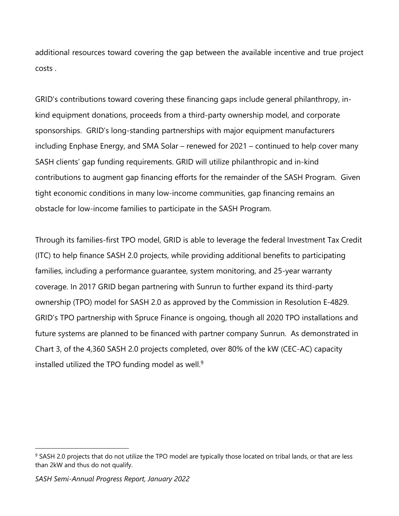additional resources toward covering the gap between the available incentive and true project costs .

GRID's contributions toward covering these financing gaps include general philanthropy, inkind equipment donations, proceeds from a third-party ownership model, and corporate sponsorships. GRID's long-standing partnerships with major equipment manufacturers including Enphase Energy, and SMA Solar – renewed for 2021 – continued to help cover many SASH clients' gap funding requirements. GRID will utilize philanthropic and in-kind contributions to augment gap financing efforts for the remainder of the SASH Program. Given tight economic conditions in many low-income communities, gap financing remains an obstacle for low-income families to participate in the SASH Program.

Through its families-first TPO model, GRID is able to leverage the federal Investment Tax Credit (ITC) to help finance SASH 2.0 projects, while providing additional benefits to participating families, including a performance guarantee, system monitoring, and 25-year warranty coverage. In 2017 GRID began partnering with Sunrun to further expand its third-party ownership (TPO) model for SASH 2.0 as approved by the Commission in Resolution E-4829. GRID's TPO partnership with Spruce Finance is ongoing, though all 2020 TPO installations and future systems are planned to be financed with partner company Sunrun. As demonstrated in Chart 3, of the 4,360 SASH 2.0 projects completed, over 80% of the kW (CEC-AC) capacity installed utilized the TPO funding model as well.<sup>9</sup>

<sup>&</sup>lt;sup>9</sup> SASH 2.0 projects that do not utilize the TPO model are typically those located on tribal lands, or that are less than 2kW and thus do not qualify.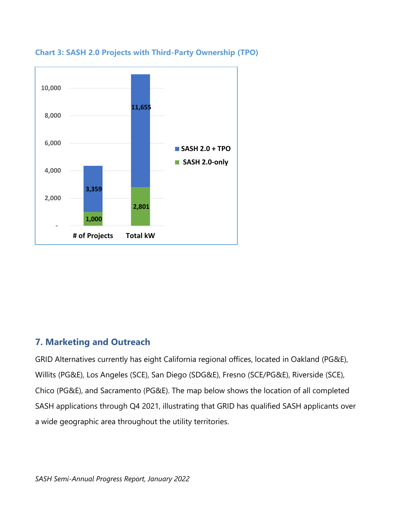



## **7. Marketing and Outreach**

GRID Alternatives currently has eight California regional offices, located in Oakland (PG&E), Willits (PG&E), Los Angeles (SCE), San Diego (SDG&E), Fresno (SCE/PG&E), Riverside (SCE), Chico (PG&E), and Sacramento (PG&E). The map below shows the location of all completed SASH applications through Q4 2021, illustrating that GRID has qualified SASH applicants over a wide geographic area throughout the utility territories.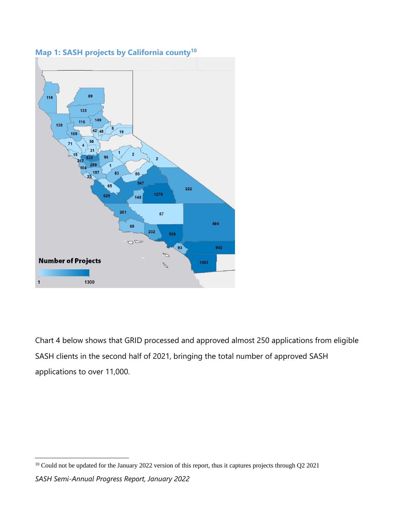

**Map 1: SASH projects by California county<sup>10</sup>**

Chart 4 below shows that GRID processed and approved almost 250 applications from eligible SASH clients in the second half of 2021, bringing the total number of approved SASH applications to over 11,000.

<sup>&</sup>lt;sup>10</sup> Could not be updated for the January 2022 version of this report, thus it captures projects through Q2 2021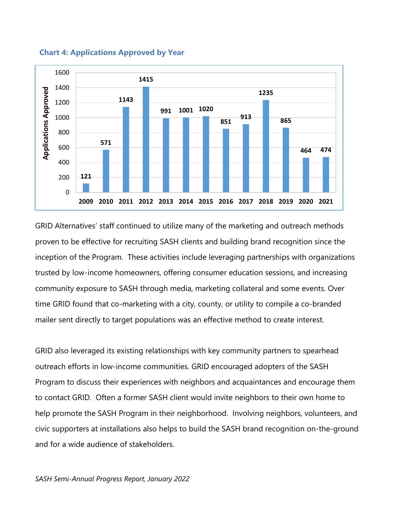

 **Chart 4: Applications Approved by Year**

GRID Alternatives' staff continued to utilize many of the marketing and outreach methods proven to be effective for recruiting SASH clients and building brand recognition since the inception of the Program. These activities include leveraging partnerships with organizations trusted by low-income homeowners, offering consumer education sessions, and increasing community exposure to SASH through media, marketing collateral and some events. Over time GRID found that co-marketing with a city, county, or utility to compile a co-branded mailer sent directly to target populations was an effective method to create interest.

GRID also leveraged its existing relationships with key community partners to spearhead outreach efforts in low-income communities. GRID encouraged adopters of the SASH Program to discuss their experiences with neighbors and acquaintances and encourage them to contact GRID. Often a former SASH client would invite neighbors to their own home to help promote the SASH Program in their neighborhood. Involving neighbors, volunteers, and civic supporters at installations also helps to build the SASH brand recognition on-the-ground and for a wide audience of stakeholders.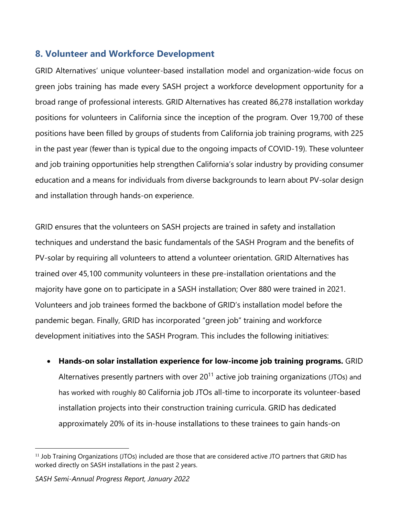## **8. Volunteer and Workforce Development**

GRID Alternatives' unique volunteer-based installation model and organization-wide focus on green jobs training has made every SASH project a workforce development opportunity for a broad range of professional interests. GRID Alternatives has created 86,278 installation workday positions for volunteers in California since the inception of the program. Over 19,700 of these positions have been filled by groups of students from California job training programs, with 225 in the past year (fewer than is typical due to the ongoing impacts of COVID-19). These volunteer and job training opportunities help strengthen California's solar industry by providing consumer education and a means for individuals from diverse backgrounds to learn about PV-solar design and installation through hands-on experience.

GRID ensures that the volunteers on SASH projects are trained in safety and installation techniques and understand the basic fundamentals of the SASH Program and the benefits of PV-solar by requiring all volunteers to attend a volunteer orientation. GRID Alternatives has trained over 45,100 community volunteers in these pre-installation orientations and the majority have gone on to participate in a SASH installation; Over 880 were trained in 2021. Volunteers and job trainees formed the backbone of GRID's installation model before the pandemic began. Finally, GRID has incorporated "green job" training and workforce development initiatives into the SASH Program. This includes the following initiatives:

• **Hands-on solar installation experience for low-income job training programs.** GRID Alternatives presently partners with over  $20^{11}$  active job training organizations (JTOs) and has worked with roughly 80 California job JTOs all-time to incorporate its volunteer-based installation projects into their construction training curricula. GRID has dedicated approximately 20% of its in-house installations to these trainees to gain hands-on

<sup>&</sup>lt;sup>11</sup> Job Training Organizations (JTOs) included are those that are considered active JTO partners that GRID has worked directly on SASH installations in the past 2 years.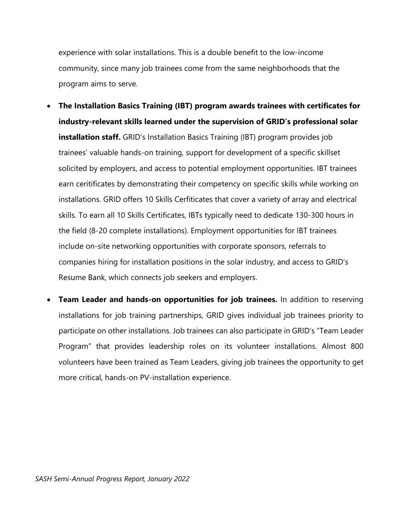experience with solar installations. This is a double benefit to the low-income community, since many job trainees come from the same neighborhoods that the program aims to serve.

- **The Installation Basics Training (IBT) program awards trainees with certificates for industry-relevant skills learned under the supervision of GRID's professional solar installation staff.** GRID's Installation Basics Training (IBT) program provides job trainees' valuable hands-on training, support for development of a specific skillset solicited by employers, and access to potential employment opportunities. IBT trainees earn ceritificates by demonstrating their competency on specific skills while working on installations. GRID offers 10 Skills Cerfiticates that cover a variety of array and electrical skills. To earn all 10 Skills Certificates, IBTs typically need to dedicate 130-300 hours in the field (8-20 complete installations). Employment opportunities for IBT trainees include on-site networking opportunities with corporate sponsors, referrals to companies hiring for installation positions in the solar industry, and access to GRID's Resume Bank, which connects job seekers and employers.
- **Team Leader and hands-on opportunities for job trainees.** In addition to reserving installations for job training partnerships, GRID gives individual job trainees priority to participate on other installations. Job trainees can also participate in GRID's "Team Leader Program" that provides leadership roles on its volunteer installations. Almost 800 volunteers have been trained as Team Leaders, giving job trainees the opportunity to get more critical, hands-on PV-installation experience.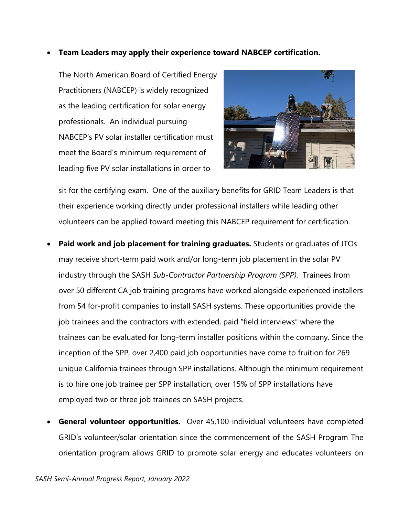#### • **Team Leaders may apply their experience toward NABCEP certification.**

The North American Board of Certified Energy Practitioners (NABCEP) is widely recognized as the leading certification for solar energy professionals. An individual pursuing NABCEP's PV solar installer certification must meet the Board's minimum requirement of leading five PV solar installations in order to



sit for the certifying exam. One of the auxiliary benefits for GRID Team Leaders is that their experience working directly under professional installers while leading other volunteers can be applied toward meeting this NABCEP requirement for certification.

- **Paid work and job placement for training graduates.** Students or graduates of JTOs may receive short-term paid work and/or long-term job placement in the solar PV industry through the SASH *Sub-Contractor Partnership Program (SPP).* Trainees from over 50 different CA job training programs have worked alongside experienced installers from 54 for-profit companies to install SASH systems. These opportunities provide the job trainees and the contractors with extended, paid "field interviews" where the trainees can be evaluated for long-term installer positions within the company. Since the inception of the SPP, over 2,400 paid job opportunities have come to fruition for 269 unique California trainees through SPP installations. Although the minimum requirement is to hire one job trainee per SPP installation, over 15% of SPP installations have employed two or three job trainees on SASH projects.
- **General volunteer opportunities.** Over 45,100 individual volunteers have completed GRID's volunteer/solar orientation since the commencement of the SASH Program The orientation program allows GRID to promote solar energy and educates volunteers on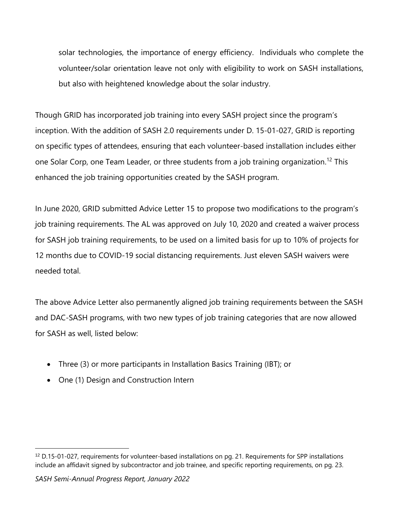solar technologies, the importance of energy efficiency. Individuals who complete the volunteer/solar orientation leave not only with eligibility to work on SASH installations, but also with heightened knowledge about the solar industry.

Though GRID has incorporated job training into every SASH project since the program's inception. With the addition of SASH 2.0 requirements under D. 15-01-027, GRID is reporting on specific types of attendees, ensuring that each volunteer-based installation includes either one Solar Corp, one Team Leader, or three students from a job training organization.<sup>12</sup> This enhanced the job training opportunities created by the SASH program.

In June 2020, GRID submitted Advice Letter 15 to propose two modifications to the program's job training requirements. The AL was approved on July 10, 2020 and created a waiver process for SASH job training requirements, to be used on a limited basis for up to 10% of projects for 12 months due to COVID-19 social distancing requirements. Just eleven SASH waivers were needed total.

The above Advice Letter also permanently aligned job training requirements between the SASH and DAC-SASH programs, with two new types of job training categories that are now allowed for SASH as well, listed below:

- Three (3) or more participants in Installation Basics Training (IBT); or
- One (1) Design and Construction Intern

<sup>12</sup> D.15-01-027, requirements for volunteer-based installations on pg. 21. Requirements for SPP installations include an affidavit signed by subcontractor and job trainee, and specific reporting requirements, on pg. 23.